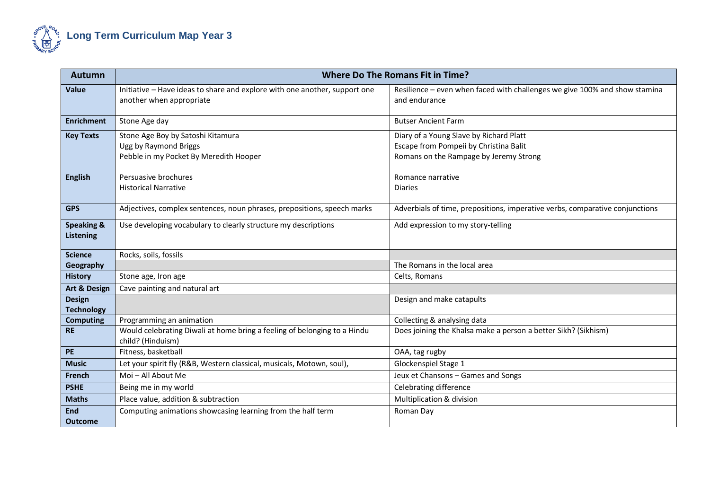

| <b>Autumn</b>                             | <b>Where Do The Romans Fit in Time?</b>                                                                |                                                                                                                             |
|-------------------------------------------|--------------------------------------------------------------------------------------------------------|-----------------------------------------------------------------------------------------------------------------------------|
| Value                                     | Initiative - Have ideas to share and explore with one another, support one<br>another when appropriate | Resilience - even when faced with challenges we give 100% and show stamina<br>and endurance                                 |
| <b>Enrichment</b>                         | Stone Age day                                                                                          | <b>Butser Ancient Farm</b>                                                                                                  |
| <b>Key Texts</b>                          | Stone Age Boy by Satoshi Kitamura<br>Ugg by Raymond Briggs<br>Pebble in my Pocket By Meredith Hooper   | Diary of a Young Slave by Richard Platt<br>Escape from Pompeii by Christina Balit<br>Romans on the Rampage by Jeremy Strong |
| <b>English</b>                            | Persuasive brochures<br><b>Historical Narrative</b>                                                    | Romance narrative<br><b>Diaries</b>                                                                                         |
| <b>GPS</b>                                | Adjectives, complex sentences, noun phrases, prepositions, speech marks                                | Adverbials of time, prepositions, imperative verbs, comparative conjunctions                                                |
| <b>Speaking &amp;</b><br><b>Listening</b> | Use developing vocabulary to clearly structure my descriptions                                         | Add expression to my story-telling                                                                                          |
| <b>Science</b>                            | Rocks, soils, fossils                                                                                  |                                                                                                                             |
| Geography                                 |                                                                                                        | The Romans in the local area                                                                                                |
| <b>History</b>                            | Stone age, Iron age                                                                                    | Celts, Romans                                                                                                               |
| <b>Art &amp; Design</b>                   | Cave painting and natural art                                                                          |                                                                                                                             |
| <b>Design</b><br><b>Technology</b>        |                                                                                                        | Design and make catapults                                                                                                   |
| <b>Computing</b>                          | Programming an animation                                                                               | Collecting & analysing data                                                                                                 |
| <b>RE</b>                                 | Would celebrating Diwali at home bring a feeling of belonging to a Hindu<br>child? (Hinduism)          | Does joining the Khalsa make a person a better Sikh? (Sikhism)                                                              |
| PE                                        | Fitness, basketball                                                                                    | OAA, tag rugby                                                                                                              |
| <b>Music</b>                              | Let your spirit fly (R&B, Western classical, musicals, Motown, soul),                                  | Glockenspiel Stage 1                                                                                                        |
| French                                    | Moi - All About Me                                                                                     | Jeux et Chansons - Games and Songs                                                                                          |
| <b>PSHE</b>                               | Being me in my world                                                                                   | Celebrating difference                                                                                                      |
| <b>Maths</b>                              | Place value, addition & subtraction                                                                    | Multiplication & division                                                                                                   |
| <b>End</b><br><b>Outcome</b>              | Computing animations showcasing learning from the half term                                            | Roman Day                                                                                                                   |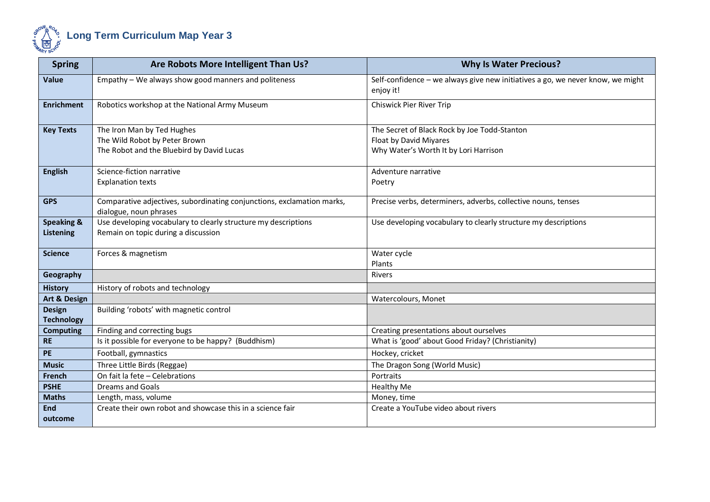

| <b>Spring</b>                      | Are Robots More Intelligent Than Us?                                                                     | <b>Why Is Water Precious?</b>                                                                                   |
|------------------------------------|----------------------------------------------------------------------------------------------------------|-----------------------------------------------------------------------------------------------------------------|
| <b>Value</b>                       | Empathy - We always show good manners and politeness                                                     | Self-confidence - we always give new initiatives a go, we never know, we might<br>enjoy it!                     |
| <b>Enrichment</b>                  | Robotics workshop at the National Army Museum                                                            | Chiswick Pier River Trip                                                                                        |
| <b>Key Texts</b>                   | The Iron Man by Ted Hughes<br>The Wild Robot by Peter Brown<br>The Robot and the Bluebird by David Lucas | The Secret of Black Rock by Joe Todd-Stanton<br>Float by David Miyares<br>Why Water's Worth It by Lori Harrison |
| <b>English</b>                     | Science-fiction narrative<br><b>Explanation texts</b>                                                    | Adventure narrative<br>Poetry                                                                                   |
| <b>GPS</b>                         | Comparative adjectives, subordinating conjunctions, exclamation marks,<br>dialogue, noun phrases         | Precise verbs, determiners, adverbs, collective nouns, tenses                                                   |
| <b>Speaking &amp;</b><br>Listening | Use developing vocabulary to clearly structure my descriptions<br>Remain on topic during a discussion    | Use developing vocabulary to clearly structure my descriptions                                                  |
| <b>Science</b>                     | Forces & magnetism                                                                                       | Water cycle<br>Plants                                                                                           |
| Geography                          |                                                                                                          | Rivers                                                                                                          |
| <b>History</b>                     | History of robots and technology                                                                         |                                                                                                                 |
| Art & Design                       |                                                                                                          | Watercolours, Monet                                                                                             |
| <b>Design</b><br><b>Technology</b> | Building 'robots' with magnetic control                                                                  |                                                                                                                 |
| <b>Computing</b>                   | Finding and correcting bugs                                                                              | Creating presentations about ourselves                                                                          |
| <b>RE</b>                          | Is it possible for everyone to be happy? (Buddhism)                                                      | What is 'good' about Good Friday? (Christianity)                                                                |
| <b>PE</b>                          | Football, gymnastics                                                                                     | Hockey, cricket                                                                                                 |
| <b>Music</b>                       | Three Little Birds (Reggae)                                                                              | The Dragon Song (World Music)                                                                                   |
| French                             | On fait la fete - Celebrations                                                                           | Portraits                                                                                                       |
| <b>PSHE</b>                        | <b>Dreams and Goals</b>                                                                                  | <b>Healthy Me</b>                                                                                               |
| <b>Maths</b>                       | Length, mass, volume                                                                                     | Money, time                                                                                                     |
| End<br>outcome                     | Create their own robot and showcase this in a science fair                                               | Create a YouTube video about rivers                                                                             |